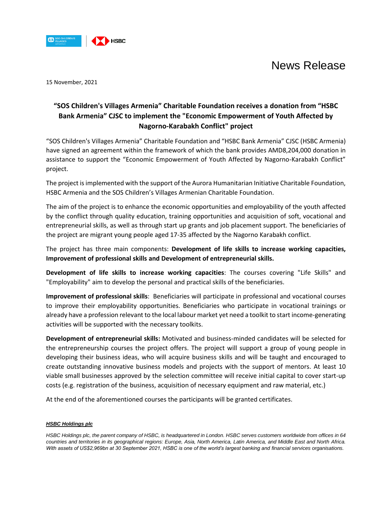

## News Release

15 November, 2021

### **"SOS Children's Villages Armenia" Charitable Foundation receives a donation from "HSBC Bank Armenia" CJSC to implement the "Economic Empowerment of Youth Affected by Nagorno-Karabakh Conflict" project**

"SOS Children's Villages Armenia" Charitable Foundation and "HSBC Bank Armenia" CJSC (HSBC Armenia) have signed an agreement within the framework of which the bank provides AMD8,204,000 donation in assistance to support the "Economic Empowerment of Youth Affected by Nagorno-Karabakh Conflict" project.

The project is implemented with the support of the Aurora Humanitarian Initiative Charitable Foundation, HSBC Armenia and the SOS Children's Villages Armenian Charitable Foundation.

The aim of the project is to enhance the economic opportunities and employability of the youth affected by the conflict through quality education, training opportunities and acquisition of soft, vocational and entrepreneurial skills, as well as through start up grants and job placement support. The beneficiaries of the project are migrant young people aged 17-35 affected by the Nagorno Karabakh conflict.

The project has three main components: **Development of life skills to increase working capacities, Improvement of professional skills and Development of entrepreneurial skills.** 

**Development of life skills to increase working capacities**: The courses covering "Life Skills" and "Employability" aim to develop the personal and practical skills of the beneficiaries.

**Improvement of professional skills**: Beneficiaries will participate in professional and vocational courses to improve their employability opportunities. Beneficiaries who participate in vocational trainings or already have a profession relevant to the local labour market yet need a toolkit to start income-generating activities will be supported with the necessary toolkits.

**Development of entrepreneurial skills:** Motivated and business-minded candidates will be selected for the entrepreneurship courses the project offers. The project will support a group of young people in developing their business ideas, who will acquire business skills and will be taught and encouraged to create outstanding innovative business models and projects with the support of mentors. At least 10 viable small businesses approved by the selection committee will receive initial capital to cover start-up costs (e.g. registration of the business, acquisition of necessary equipment and raw material, etc.)

At the end of the aforementioned courses the participants will be granted certificates.

### *HSBC Holdings plc*

*HSBC Holdings plc, the parent company of HSBC, is headquartered in London. HSBC serves customers worldwide from offices in 64 countries and territories in its geographical regions: Europe, Asia, North America, Latin America, and Middle East and North Africa.*  With assets of US\$2,969bn at 30 September 2021, HSBC is one of the world's largest banking and *financial services organisations*.